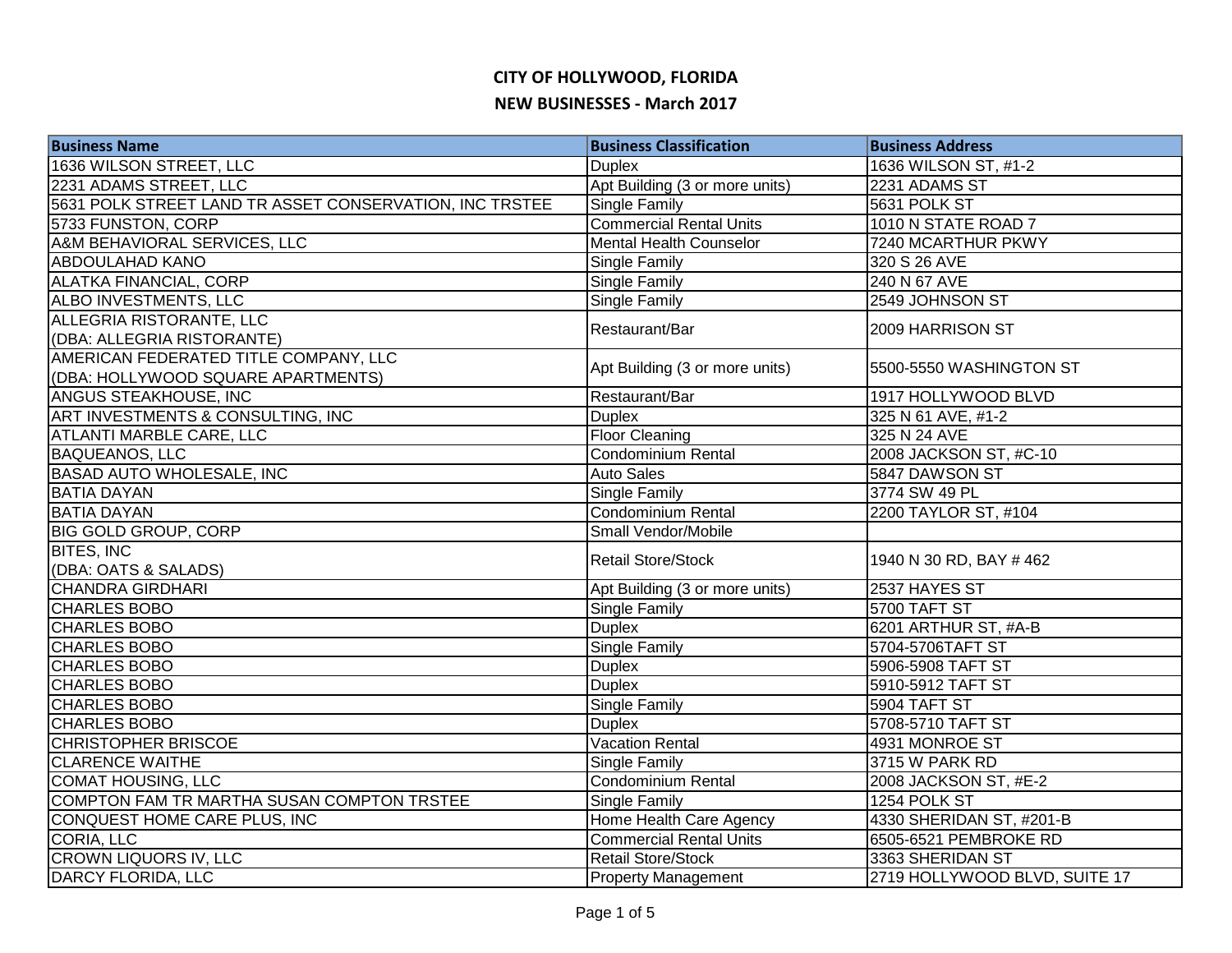| <b>Business Name</b>                                    | <b>Business Classification</b> | <b>Business Address</b>       |
|---------------------------------------------------------|--------------------------------|-------------------------------|
| 1636 WILSON STREET, LLC                                 | <b>Duplex</b>                  | 1636 WILSON ST, #1-2          |
| 2231 ADAMS STREET, LLC                                  | Apt Building (3 or more units) | 2231 ADAMS ST                 |
| 5631 POLK STREET LAND TR ASSET CONSERVATION, INC TRSTEE | <b>Single Family</b>           | 5631 POLK ST                  |
| 5733 FUNSTON, CORP                                      | <b>Commercial Rental Units</b> | 1010 N STATE ROAD 7           |
| A&M BEHAVIORAL SERVICES, LLC                            | <b>Mental Health Counselor</b> | 7240 MCARTHUR PKWY            |
| <b>ABDOULAHAD KANO</b>                                  | Single Family                  | 320 S 26 AVE                  |
| <b>ALATKA FINANCIAL, CORP</b>                           | <b>Single Family</b>           | 240 N 67 AVE                  |
| ALBO INVESTMENTS, LLC                                   | <b>Single Family</b>           | 2549 JOHNSON ST               |
| ALLEGRIA RISTORANTE, LLC                                | Restaurant/Bar                 | 2009 HARRISON ST              |
| (DBA: ALLEGRIA RISTORANTE)                              |                                |                               |
| AMERICAN FEDERATED TITLE COMPANY, LLC                   |                                | 5500-5550 WASHINGTON ST       |
| (DBA: HOLLYWOOD SQUARE APARTMENTS)                      | Apt Building (3 or more units) |                               |
| ANGUS STEAKHOUSE, INC                                   | Restaurant/Bar                 | 1917 HOLLYWOOD BLVD           |
| ART INVESTMENTS & CONSULTING, INC                       | <b>Duplex</b>                  | 325 N 61 AVE, #1-2            |
| ATLANTI MARBLE CARE, LLC                                | <b>Floor Cleaning</b>          | 325 N 24 AVE                  |
| <b>BAQUEANOS, LLC</b>                                   | Condominium Rental             | 2008 JACKSON ST, #C-10        |
| <b>BASAD AUTO WHOLESALE, INC</b>                        | <b>Auto Sales</b>              | 5847 DAWSON ST                |
| <b>BATIA DAYAN</b>                                      | <b>Single Family</b>           | 3774 SW 49 PL                 |
| <b>BATIA DAYAN</b>                                      | Condominium Rental             | 2200 TAYLOR ST, #104          |
| <b>BIG GOLD GROUP, CORP</b>                             | Small Vendor/Mobile            |                               |
| <b>BITES, INC</b>                                       | <b>Retail Store/Stock</b>      | 1940 N 30 RD, BAY #462        |
| (DBA: OATS & SALADS)                                    |                                |                               |
| <b>CHANDRA GIRDHARI</b>                                 | Apt Building (3 or more units) | 2537 HAYES ST                 |
| <b>CHARLES BOBO</b>                                     | <b>Single Family</b>           | 5700 TAFT ST                  |
| <b>CHARLES BOBO</b>                                     | <b>Duplex</b>                  | 6201 ARTHUR ST, #A-B          |
| <b>CHARLES BOBO</b>                                     | <b>Single Family</b>           | 5704-5706TAFT ST              |
| <b>CHARLES BOBO</b>                                     | <b>Duplex</b>                  | 5906-5908 TAFT ST             |
| <b>CHARLES BOBO</b>                                     | <b>Duplex</b>                  | 5910-5912 TAFT ST             |
| <b>CHARLES BOBO</b>                                     | <b>Single Family</b>           | 5904 TAFT ST                  |
| <b>CHARLES BOBO</b>                                     | <b>Duplex</b>                  | 5708-5710 TAFT ST             |
| <b>CHRISTOPHER BRISCOE</b>                              | <b>Vacation Rental</b>         | 4931 MONROE ST                |
| <b>CLARENCE WAITHE</b>                                  | Single Family                  | 3715 W PARK RD                |
| <b>COMAT HOUSING, LLC</b>                               | <b>Condominium Rental</b>      | 2008 JACKSON ST, #E-2         |
| COMPTON FAM TR MARTHA SUSAN COMPTON TRSTEE              | Single Family                  | 1254 POLK ST                  |
| CONQUEST HOME CARE PLUS, INC                            | Home Health Care Agency        | 4330 SHERIDAN ST, #201-B      |
| CORIA, LLC                                              | <b>Commercial Rental Units</b> | 6505-6521 PEMBROKE RD         |
| <b>CROWN LIQUORS IV, LLC</b>                            | <b>Retail Store/Stock</b>      | 3363 SHERIDAN ST              |
| DARCY FLORIDA, LLC                                      | <b>Property Management</b>     | 2719 HOLLYWOOD BLVD, SUITE 17 |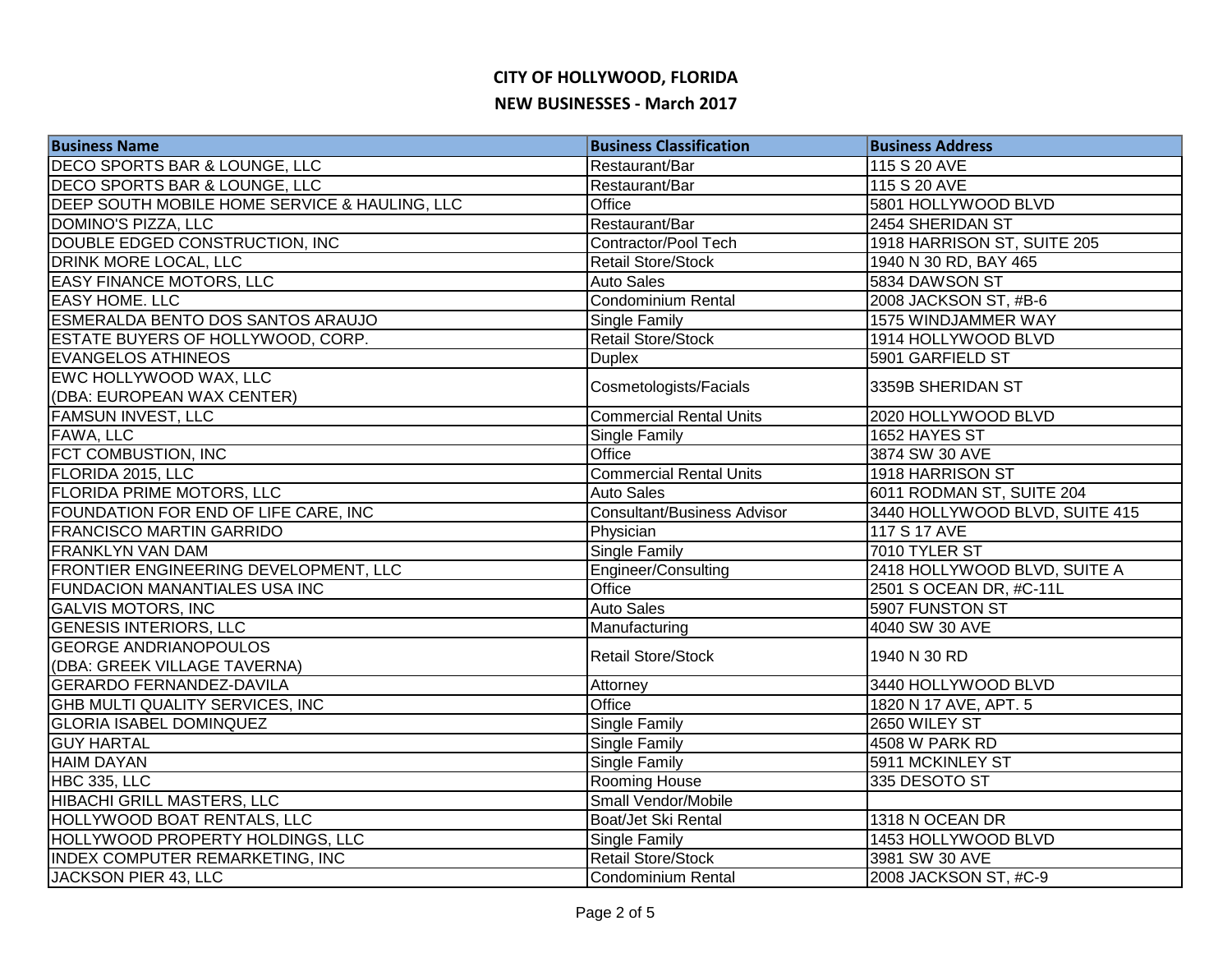| <b>Business Name</b>                          | <b>Business Classification</b>     | <b>Business Address</b>        |
|-----------------------------------------------|------------------------------------|--------------------------------|
| DECO SPORTS BAR & LOUNGE, LLC                 | Restaurant/Bar                     | 115 S 20 AVE                   |
| DECO SPORTS BAR & LOUNGE, LLC                 | Restaurant/Bar                     | 115 S 20 AVE                   |
| DEEP SOUTH MOBILE HOME SERVICE & HAULING, LLC | Office                             | 5801 HOLLYWOOD BLVD            |
| <b>DOMINO'S PIZZA, LLC</b>                    | Restaurant/Bar                     | 2454 SHERIDAN ST               |
| DOUBLE EDGED CONSTRUCTION, INC                | Contractor/Pool Tech               | 1918 HARRISON ST, SUITE 205    |
| DRINK MORE LOCAL, LLC                         | <b>Retail Store/Stock</b>          | 1940 N 30 RD, BAY 465          |
| <b>EASY FINANCE MOTORS, LLC</b>               | <b>Auto Sales</b>                  | 5834 DAWSON ST                 |
| <b>EASY HOME. LLC</b>                         | Condominium Rental                 | 2008 JACKSON ST, #B-6          |
| <b>ESMERALDA BENTO DOS SANTOS ARAUJO</b>      | Single Family                      | 1575 WINDJAMMER WAY            |
| ESTATE BUYERS OF HOLLYWOOD, CORP.             | Retail Store/Stock                 | 1914 HOLLYWOOD BLVD            |
| <b>EVANGELOS ATHINEOS</b>                     | <b>Duplex</b>                      | 5901 GARFIELD ST               |
| EWC HOLLYWOOD WAX, LLC                        | Cosmetologists/Facials             | 3359B SHERIDAN ST              |
| (DBA: EUROPEAN WAX CENTER)                    |                                    |                                |
| <b>FAMSUN INVEST, LLC</b>                     | <b>Commercial Rental Units</b>     | 2020 HOLLYWOOD BLVD            |
| FAWA, LLC                                     | Single Family                      | 1652 HAYES ST                  |
| FCT COMBUSTION, INC                           | Office                             | 3874 SW 30 AVE                 |
| FLORIDA 2015, LLC                             | <b>Commercial Rental Units</b>     | 1918 HARRISON ST               |
| <b>FLORIDA PRIME MOTORS, LLC</b>              | <b>Auto Sales</b>                  | 6011 RODMAN ST, SUITE 204      |
| FOUNDATION FOR END OF LIFE CARE, INC          | <b>Consultant/Business Advisor</b> | 3440 HOLLYWOOD BLVD, SUITE 415 |
| <b>FRANCISCO MARTIN GARRIDO</b>               | Physician                          | 117 S 17 AVE                   |
| <b>FRANKLYN VAN DAM</b>                       | <b>Single Family</b>               | 7010 TYLER ST                  |
| FRONTIER ENGINEERING DEVELOPMENT, LLC         | Engineer/Consulting                | 2418 HOLLYWOOD BLVD, SUITE A   |
| <b>FUNDACION MANANTIALES USA INC</b>          | Office                             | 2501 S OCEAN DR, #C-11L        |
| <b>GALVIS MOTORS, INC</b>                     | <b>Auto Sales</b>                  | 5907 FUNSTON ST                |
| <b>GENESIS INTERIORS, LLC</b>                 | Manufacturing                      | 4040 SW 30 AVE                 |
| <b>GEORGE ANDRIANOPOULOS</b>                  | <b>Retail Store/Stock</b>          | 1940 N 30 RD                   |
| (DBA: GREEK VILLAGE TAVERNA)                  |                                    |                                |
| <b>GERARDO FERNANDEZ-DAVILA</b>               | Attorney                           | 3440 HOLLYWOOD BLVD            |
| GHB MULTI QUALITY SERVICES, INC               | Office                             | 1820 N 17 AVE, APT. 5          |
| <b>GLORIA ISABEL DOMINQUEZ</b>                | Single Family                      | 2650 WILEY ST                  |
| <b>GUY HARTAL</b>                             | Single Family                      | 4508 W PARK RD                 |
| <b>HAIM DAYAN</b>                             | Single Family                      | 5911 MCKINLEY ST               |
| HBC 335, LLC                                  | Rooming House                      | 335 DESOTO ST                  |
| HIBACHI GRILL MASTERS, LLC                    | Small Vendor/Mobile                |                                |
| HOLLYWOOD BOAT RENTALS, LLC                   | Boat/Jet Ski Rental                | 1318 N OCEAN DR                |
| HOLLYWOOD PROPERTY HOLDINGS, LLC              | Single Family                      | 1453 HOLLYWOOD BLVD            |
| <b>INDEX COMPUTER REMARKETING, INC</b>        | Retail Store/Stock                 | 3981 SW 30 AVE                 |
| JACKSON PIER 43, LLC                          | Condominium Rental                 | 2008 JACKSON ST, #C-9          |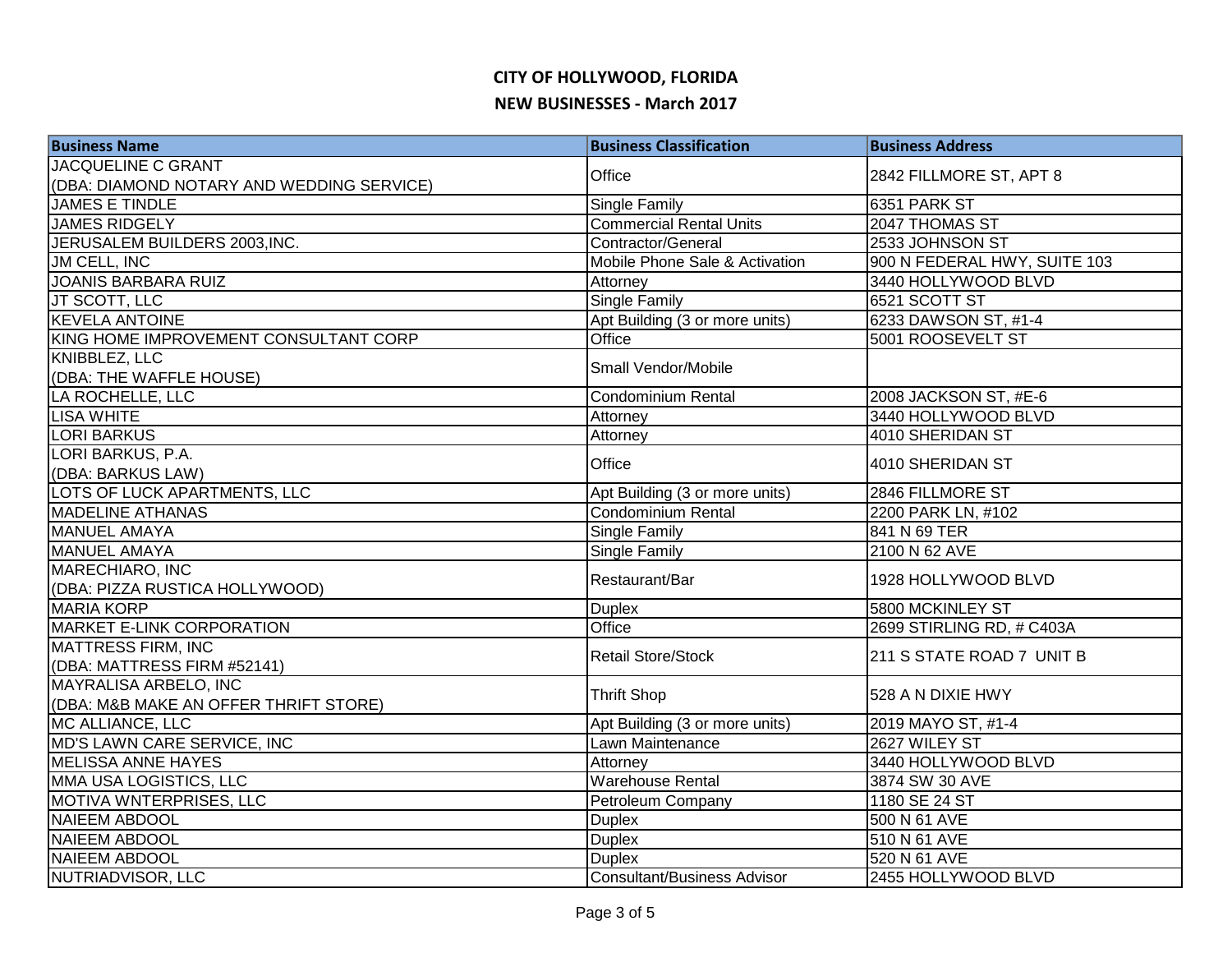| <b>JACQUELINE C GRANT</b><br>Office<br>2842 FILLMORE ST, APT 8<br>(DBA: DIAMOND NOTARY AND WEDDING SERVICE)<br><b>JAMES E TINDLE</b><br>6351 PARK ST<br><b>Single Family</b> | <b>Business Classification</b> | <b>Business Address</b>   |
|------------------------------------------------------------------------------------------------------------------------------------------------------------------------------|--------------------------------|---------------------------|
|                                                                                                                                                                              |                                |                           |
|                                                                                                                                                                              |                                |                           |
|                                                                                                                                                                              |                                |                           |
| <b>JAMES RIDGELY</b>                                                                                                                                                         | <b>Commercial Rental Units</b> | 2047 THOMAS ST            |
| JERUSALEM BUILDERS 2003, INC.<br>Contractor/General<br>2533 JOHNSON ST                                                                                                       |                                |                           |
| JM CELL, INC<br>Mobile Phone Sale & Activation<br>900 N FEDERAL HWY, SUITE 103                                                                                               |                                |                           |
| <b>JOANIS BARBARA RUIZ</b><br>3440 HOLLYWOOD BLVD<br>Attorney                                                                                                                |                                |                           |
| JT SCOTT, LLC<br><b>Single Family</b><br>6521 SCOTT ST                                                                                                                       |                                |                           |
| <b>KEVELA ANTOINE</b><br>Apt Building (3 or more units)<br>6233 DAWSON ST, #1-4                                                                                              |                                |                           |
| KING HOME IMPROVEMENT CONSULTANT CORP<br>Office<br>5001 ROOSEVELT ST                                                                                                         |                                |                           |
| KNIBBLEZ, LLC<br>Small Vendor/Mobile                                                                                                                                         |                                |                           |
| (DBA: THE WAFFLE HOUSE)                                                                                                                                                      |                                |                           |
| LA ROCHELLE, LLC<br>Condominium Rental<br>2008 JACKSON ST, #E-6                                                                                                              |                                |                           |
| <b>LISA WHITE</b><br>3440 HOLLYWOOD BLVD<br>Attorney                                                                                                                         |                                |                           |
| <b>LORI BARKUS</b><br>4010 SHERIDAN ST<br>Attorney                                                                                                                           |                                |                           |
| LORI BARKUS, P.A.<br>Office<br>4010 SHERIDAN ST                                                                                                                              |                                |                           |
| (DBA: BARKUS LAW)                                                                                                                                                            |                                |                           |
| LOTS OF LUCK APARTMENTS, LLC<br>Apt Building (3 or more units)<br>2846 FILLMORE ST                                                                                           |                                |                           |
| <b>Condominium Rental</b><br><b>MADELINE ATHANAS</b><br>2200 PARK LN, #102                                                                                                   |                                |                           |
| <b>MANUEL AMAYA</b><br>841 N 69 TER<br>Single Family                                                                                                                         |                                |                           |
| Single Family<br>2100 N 62 AVE<br><b>MANUEL AMAYA</b>                                                                                                                        |                                |                           |
| <b>MARECHIARO, INC</b><br>Restaurant/Bar                                                                                                                                     |                                | 1928 HOLLYWOOD BLVD       |
| (DBA: PIZZA RUSTICA HOLLYWOOD)                                                                                                                                               |                                |                           |
| <b>MARIA KORP</b><br>5800 MCKINLEY ST<br><b>Duplex</b>                                                                                                                       |                                |                           |
| <b>MARKET E-LINK CORPORATION</b><br>Office<br>2699 STIRLING RD, # C403A                                                                                                      |                                |                           |
| <b>MATTRESS FIRM, INC</b><br><b>Retail Store/Stock</b>                                                                                                                       |                                |                           |
| (DBA: MATTRESS FIRM #52141)                                                                                                                                                  |                                | 211 S STATE ROAD 7 UNIT B |
| MAYRALISA ARBELO, INC                                                                                                                                                        |                                |                           |
| <b>Thrift Shop</b><br>(DBA: M&B MAKE AN OFFER THRIFT STORE)                                                                                                                  |                                | 528 A N DIXIE HWY         |
| MC ALLIANCE, LLC<br>Apt Building (3 or more units)<br>2019 MAYO ST, #1-4                                                                                                     |                                |                           |
| MD'S LAWN CARE SERVICE, INC<br>Lawn Maintenance<br>2627 WILEY ST                                                                                                             |                                |                           |
| MELISSA ANNE HAYES<br>Attorney<br>3440 HOLLYWOOD BLVD                                                                                                                        |                                |                           |
| Warehouse Rental<br>MMA USA LOGISTICS, LLC<br>3874 SW 30 AVE                                                                                                                 |                                |                           |
| MOTIVA WNTERPRISES, LLC<br>Petroleum Company<br>1180 SE 24 ST                                                                                                                |                                |                           |
| 500 N 61 AVE<br><b>NAIEEM ABDOOL</b><br><b>Duplex</b>                                                                                                                        |                                |                           |
| <b>NAIEEM ABDOOL</b><br><b>Duplex</b><br>510 N 61 AVE                                                                                                                        |                                |                           |
| <b>NAIEEM ABDOOL</b><br><b>Duplex</b><br>520 N 61 AVE                                                                                                                        |                                |                           |
| NUTRIADVISOR, LLC<br><b>Consultant/Business Advisor</b><br>2455 HOLLYWOOD BLVD                                                                                               |                                |                           |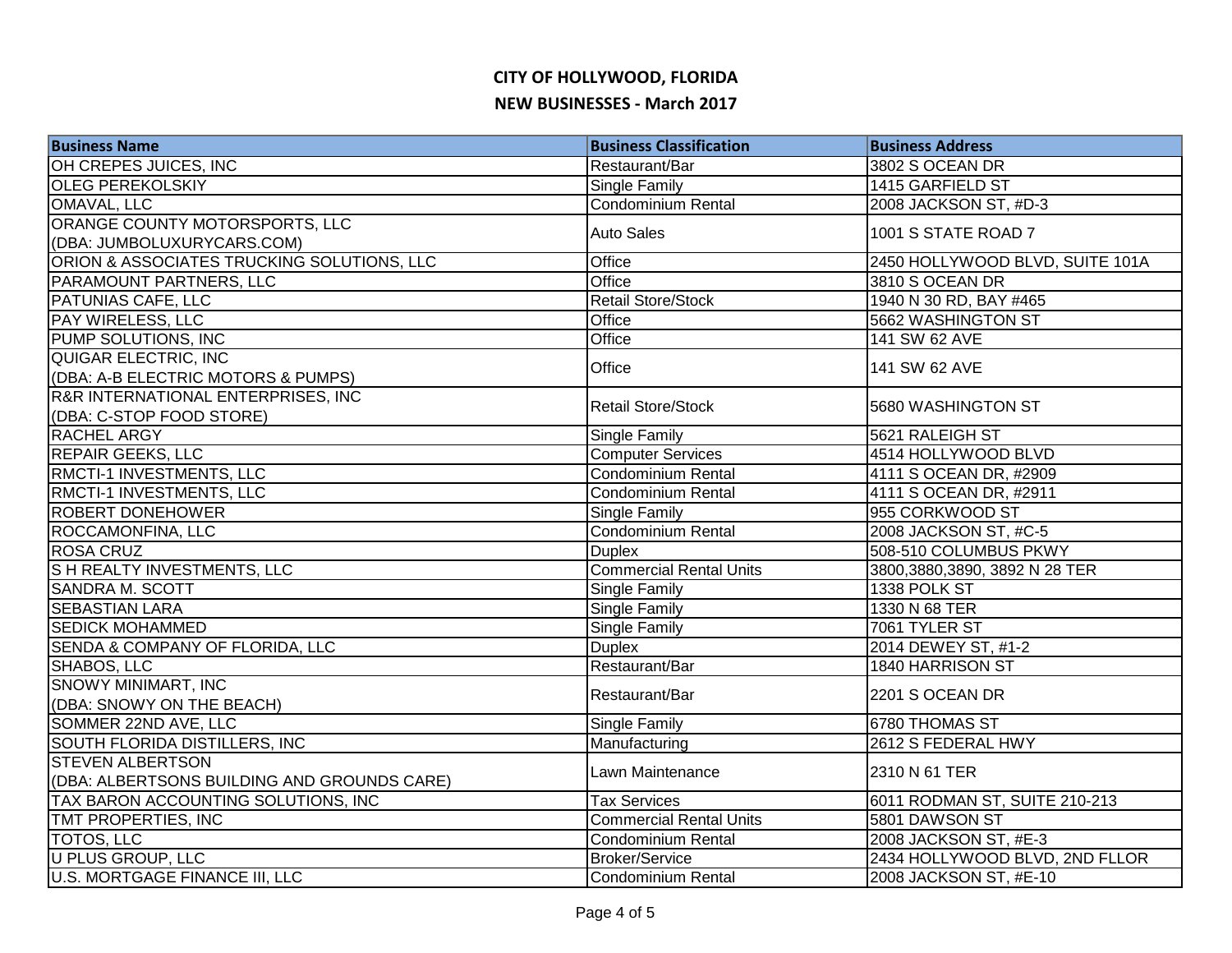| <b>Business Name</b>                          | <b>Business Classification</b> | <b>Business Address</b>         |
|-----------------------------------------------|--------------------------------|---------------------------------|
| OH CREPES JUICES, INC                         | Restaurant/Bar                 | 3802 S OCEAN DR                 |
| <b>OLEG PEREKOLSKIY</b>                       | <b>Single Family</b>           | 1415 GARFIELD ST                |
| OMAVAL, LLC                                   | <b>Condominium Rental</b>      | 2008 JACKSON ST, #D-3           |
| ORANGE COUNTY MOTORSPORTS, LLC                | <b>Auto Sales</b>              | 1001 S STATE ROAD 7             |
| (DBA: JUMBOLUXURYCARS.COM)                    |                                |                                 |
| ORION & ASSOCIATES TRUCKING SOLUTIONS, LLC    | Office                         | 2450 HOLLYWOOD BLVD, SUITE 101A |
| PARAMOUNT PARTNERS, LLC                       | Office                         | 3810 S OCEAN DR                 |
| <b>PATUNIAS CAFE, LLC</b>                     | <b>Retail Store/Stock</b>      | 1940 N 30 RD, BAY #465          |
| <b>PAY WIRELESS, LLC</b>                      | Office                         | 5662 WASHINGTON ST              |
| PUMP SOLUTIONS, INC                           | Office                         | 141 SW 62 AVE                   |
| QUIGAR ELECTRIC, INC                          | Office                         | 141 SW 62 AVE                   |
| (DBA: A-B ELECTRIC MOTORS & PUMPS)            |                                |                                 |
| <b>R&amp;R INTERNATIONAL ENTERPRISES, INC</b> | <b>Retail Store/Stock</b>      | 5680 WASHINGTON ST              |
| (DBA: C-STOP FOOD STORE)                      |                                |                                 |
| <b>RACHEL ARGY</b>                            | <b>Single Family</b>           | 5621 RALEIGH ST                 |
| <b>REPAIR GEEKS, LLC</b>                      | <b>Computer Services</b>       | 4514 HOLLYWOOD BLVD             |
| RMCTI-1 INVESTMENTS, LLC                      | Condominium Rental             | 4111 S OCEAN DR, #2909          |
| RMCTI-1 INVESTMENTS, LLC                      | Condominium Rental             | 4111 S OCEAN DR, #2911          |
| <b>ROBERT DONEHOWER</b>                       | Single Family                  | 955 CORKWOOD ST                 |
| ROCCAMONFINA, LLC                             | Condominium Rental             | 2008 JACKSON ST, #C-5           |
| <b>ROSA CRUZ</b>                              | <b>Duplex</b>                  | 508-510 COLUMBUS PKWY           |
| <b>SH REALTY INVESTMENTS, LLC</b>             | <b>Commercial Rental Units</b> | 3800,3880,3890, 3892 N 28 TER   |
| <b>SANDRA M. SCOTT</b>                        | <b>Single Family</b>           | 1338 POLK ST                    |
| <b>SEBASTIAN LARA</b>                         | Single Family                  | 1330 N 68 TER                   |
| <b>SEDICK MOHAMMED</b>                        | Single Family                  | 7061 TYLER ST                   |
| SENDA & COMPANY OF FLORIDA, LLC               | <b>Duplex</b>                  | 2014 DEWEY ST, #1-2             |
| SHABOS, LLC                                   | Restaurant/Bar                 | 1840 HARRISON ST                |
| <b>SNOWY MINIMART, INC</b>                    | Restaurant/Bar                 | 2201 S OCEAN DR                 |
| (DBA: SNOWY ON THE BEACH)                     |                                |                                 |
| SOMMER 22ND AVE, LLC                          | <b>Single Family</b>           | 6780 THOMAS ST                  |
| SOUTH FLORIDA DISTILLERS, INC                 | Manufacturing                  | 2612 S FEDERAL HWY              |
| <b>STEVEN ALBERTSON</b>                       | Lawn Maintenance               | 2310 N 61 TER                   |
| (DBA: ALBERTSONS BUILDING AND GROUNDS CARE)   |                                |                                 |
| TAX BARON ACCOUNTING SOLUTIONS, INC           | <b>Tax Services</b>            | 6011 RODMAN ST, SUITE 210-213   |
| TMT PROPERTIES, INC                           | <b>Commercial Rental Units</b> | 5801 DAWSON ST                  |
| <b>TOTOS, LLC</b>                             | Condominium Rental             | 2008 JACKSON ST, #E-3           |
| U PLUS GROUP, LLC                             | <b>Broker/Service</b>          | 2434 HOLLYWOOD BLVD, 2ND FLLOR  |
| U.S. MORTGAGE FINANCE III, LLC                | Condominium Rental             | 2008 JACKSON ST, #E-10          |